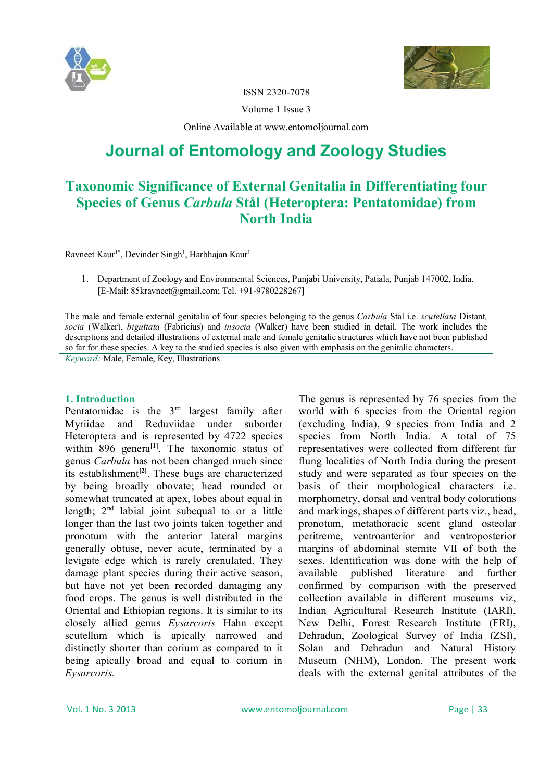



ISSN 2320-7078

Volume 1 Issue 3

Online Available at www.entomoljournal.com

# **Journal of Entomology and Zoology Studies**

## **Taxonomic Significance of External Genitalia in Differentiating four Species of Genus** *Carbula* **Stål (Heteroptera: Pentatomidae) from North India**

Ravneet Kaur<sup>1\*</sup>, Devinder Singh<sup>1</sup>, Harbhajan Kaur<sup>1</sup>

1. Department of Zoology and Environmental Sciences, Punjabi University, Patiala, Punjab 147002, India. [E-Mail: 85kravneet@gmail.com; Tel. +91-9780228267]

The male and female external genitalia of four species belonging to the genus *Carbula* Stål i.e. *scutellata* Distant*, socia* (Walker), *biguttata* (Fabricius) and *insocia* (Walker) have been studied in detail. The work includes the descriptions and detailed illustrations of external male and female genitalic structures which have not been published so far for these species. A key to the studied species is also given with emphasis on the genitalic characters.

*Keyword:* Male, Female, Key, Illustrations

#### **1. Introduction**

Pentatomidae is the  $3<sup>rd</sup>$  largest family after Myriidae and Reduviidae under suborder Heteroptera and is represented by 4722 species within 896 genera<sup>[1]</sup>. The taxonomic status of genus *Carbula* has not been changed much since its establishment**[2]**. These bugs are characterized by being broadly obovate; head rounded or somewhat truncated at apex, lobes about equal in length;  $2<sup>nd</sup>$  labial joint subequal to or a little longer than the last two joints taken together and pronotum with the anterior lateral margins generally obtuse, never acute, terminated by a levigate edge which is rarely crenulated. They damage plant species during their active season, but have not yet been recorded damaging any food crops. The genus is well distributed in the Oriental and Ethiopian regions. It is similar to its closely allied genus *Eysarcoris* Hahn except scutellum which is apically narrowed and distinctly shorter than corium as compared to it being apically broad and equal to corium in *Eysarcoris.*

The genus is represented by 76 species from the world with 6 species from the Oriental region (excluding India), 9 species from India and 2 species from North India. A total of 75 representatives were collected from different far flung localities of North India during the present study and were separated as four species on the basis of their morphological characters i.e. morphometry, dorsal and ventral body colorations and markings, shapes of different parts viz., head, pronotum, metathoracic scent gland osteolar peritreme, ventroanterior and ventroposterior margins of abdominal sternite VII of both the sexes. Identification was done with the help of available published literature and further confirmed by comparison with the preserved collection available in different museums viz, Indian Agricultural Research Institute (IARI), New Delhi, Forest Research Institute (FRI), Dehradun, Zoological Survey of India (ZSI), Solan and Dehradun and Natural History Museum (NHM), London. The present work deals with the external genital attributes of the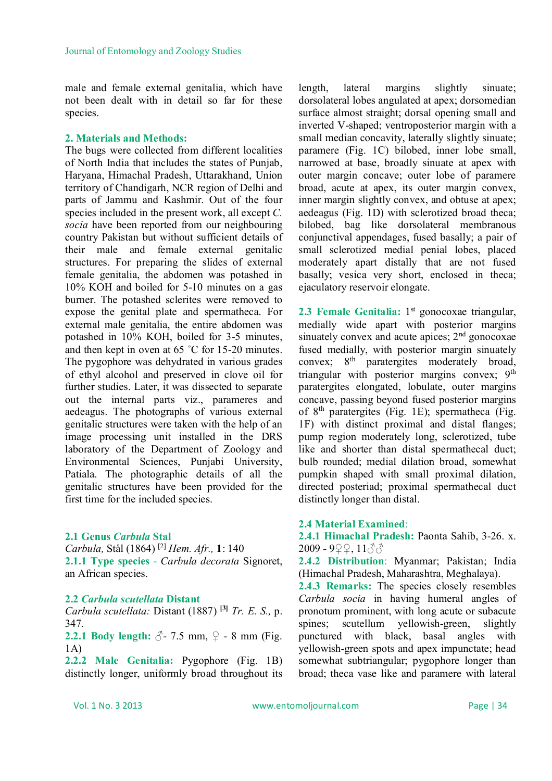male and female external genitalia, which have not been dealt with in detail so far for these species.

#### **2. Materials and Methods:**

The bugs were collected from different localities of North India that includes the states of Punjab, Haryana, Himachal Pradesh, Uttarakhand, Union territory of Chandigarh, NCR region of Delhi and parts of Jammu and Kashmir. Out of the four species included in the present work, all except *C. socia* have been reported from our neighbouring country Pakistan but without sufficient details of their male and female external genitalic structures. For preparing the slides of external female genitalia, the abdomen was potashed in 10% KOH and boiled for 5-10 minutes on a gas burner. The potashed sclerites were removed to expose the genital plate and spermatheca. For external male genitalia, the entire abdomen was potashed in 10% KOH, boiled for 3-5 minutes, and then kept in oven at 65 ˚C for 15-20 minutes. The pygophore was dehydrated in various grades of ethyl alcohol and preserved in clove oil for further studies. Later, it was dissected to separate out the internal parts viz., parameres and aedeagus. The photographs of various external genitalic structures were taken with the help of an image processing unit installed in the DRS laboratory of the Department of Zoology and Environmental Sciences, Punjabi University, Patiala. The photographic details of all the genitalic structures have been provided for the first time for the included species.

#### **2.1 Genus** *Carbula* **Stal**

*Carbula,* Stål (1864) [2] *Hem. Afr.,* **1**: 140 **2.1.1 Type species** - *Carbula decorata* Signoret, an African species.

#### **2.2** *Carbula scutellata* **Distant**

*Carbula scutellata:* Distant (1887) **[3]** *Tr. E. S.,* p. 347.

**2.2.1 Body length:**  $\sqrt{3}$ - 7.5 mm,  $\sqrt{2}$  - 8 mm (Fig. 1A)

**2.2.2 Male Genitalia:** Pygophore (Fig. 1B) distinctly longer, uniformly broad throughout its length, lateral margins slightly sinuate; dorsolateral lobes angulated at apex; dorsomedian surface almost straight; dorsal opening small and inverted V-shaped; ventroposterior margin with a small median concavity, laterally slightly sinuate; paramere (Fig. 1C) bilobed, inner lobe small, narrowed at base, broadly sinuate at apex with outer margin concave; outer lobe of paramere broad, acute at apex, its outer margin convex, inner margin slightly convex, and obtuse at apex; aedeagus (Fig. 1D) with sclerotized broad theca; bilobed, bag like dorsolateral membranous conjunctival appendages, fused basally; a pair of small sclerotized medial penial lobes, placed moderately apart distally that are not fused basally; vesica very short, enclosed in theca; ejaculatory reservoir elongate.

2.3 Female Genitalia: 1<sup>st</sup> gonocoxae triangular, medially wide apart with posterior margins sinuately convex and acute apices;  $2<sup>nd</sup>$  gonocoxae fused medially, with posterior margin sinuately convex;  $8<sup>th</sup>$  paratergites moderately broad, triangular with posterior margins convex; 9<sup>th</sup> paratergites elongated, lobulate, outer margins concave, passing beyond fused posterior margins of  $8<sup>th</sup>$  paratergites (Fig. 1E); spermatheca (Fig. 1F) with distinct proximal and distal flanges; pump region moderately long, sclerotized, tube like and shorter than distal spermathecal duct; bulb rounded; medial dilation broad, somewhat pumpkin shaped with small proximal dilation, directed posteriad; proximal spermathecal duct distinctly longer than distal.

#### **2.4 Material Examined**:

**2.4.1 Himachal Pradesh:** Paonta Sahib, 3-26. x. 2009 - 9♀♀, 11♂♂

**2.4.2 Distribution**: Myanmar; Pakistan; India (Himachal Pradesh, Maharashtra, Meghalaya).

**2.4.3 Remarks:** The species closely resembles *Carbula socia* in having humeral angles of pronotum prominent, with long acute or subacute spines; scutellum yellowish-green, slightly punctured with black, basal angles with yellowish-green spots and apex impunctate; head somewhat subtriangular; pygophore longer than broad; theca vase like and paramere with lateral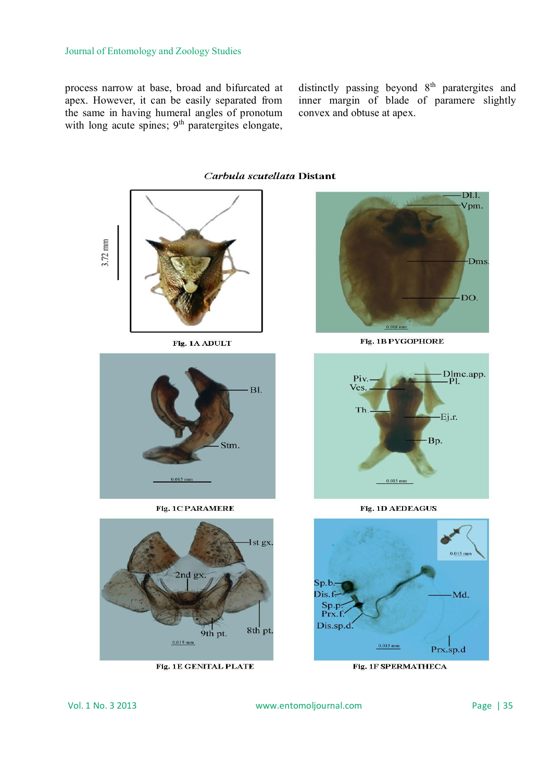process narrow at base, broad and bifurcated at apex. However, it can be easily separated from the same in having humeral angles of pronotum with long acute spines;  $9<sup>th</sup>$  paratergites elongate,

distinctly passing beyond 8<sup>th</sup> paratergites and inner margin of blade of paramere slightly convex and obtuse at apex.



Fig. 1E GENITAL PLATE

Fig. 1F SPERMATHECA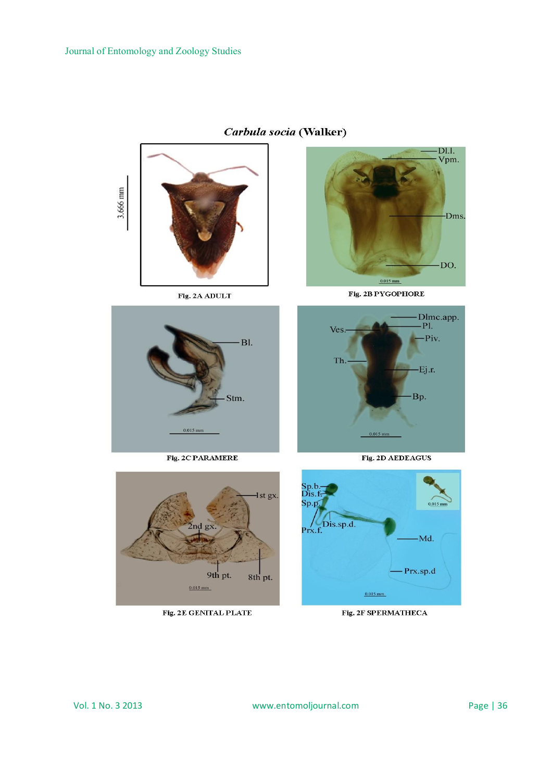

## Carbula socia (Walker)



Fig. 2B PYGOPHORE



Fig. 2C PARAMERE



Fig. 2E GENITAL PLATE







Fig. 2F SPERMATHECA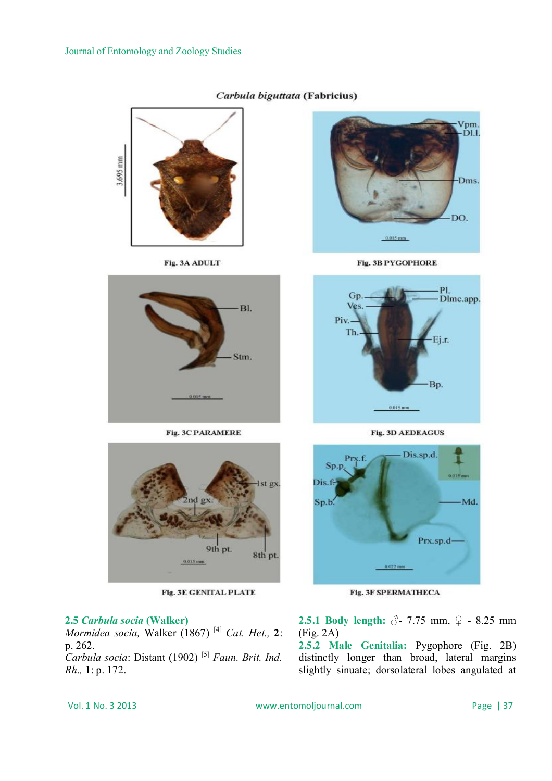

#### Carbula biguttata (Fabricius)

### **2.5** *Carbula socia* **(Walker)**

*Mormidea socia,* Walker (1867) [4] *Cat. Het.,* **2**: p. 262. *Carbula socia*: Distant (1902) [5] *Faun. Brit. Ind.* 

*Rh.,* **1**: p. 172.

**2.5.1 Body length:** ♂ - 7.75 mm, ♀ - 8.25 mm (Fig. 2A)

**2.5.2 Male Genitalia:** Pygophore (Fig. 2B) distinctly longer than broad, lateral margins slightly sinuate; dorsolateral lobes angulated at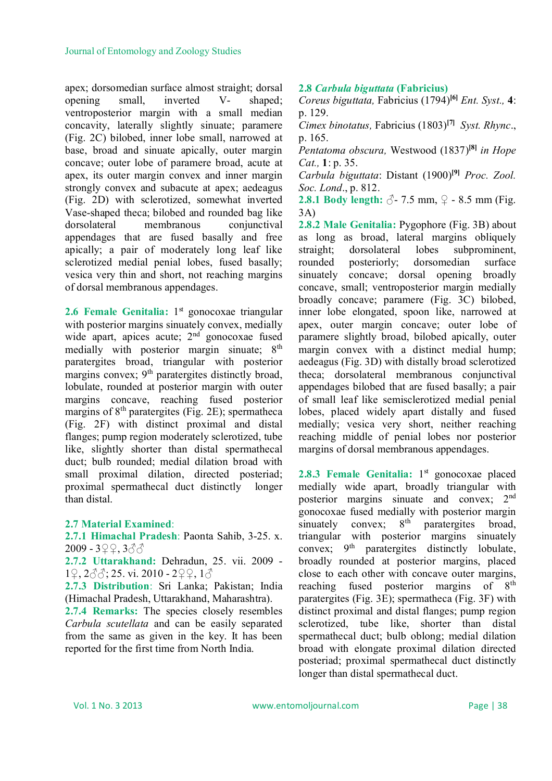apex; dorsomedian surface almost straight; dorsal opening small, inverted V- shaped; ventroposterior margin with a small median concavity, laterally slightly sinuate; paramere (Fig. 2C) bilobed, inner lobe small, narrowed at base, broad and sinuate apically, outer margin concave; outer lobe of paramere broad, acute at apex, its outer margin convex and inner margin strongly convex and subacute at apex; aedeagus (Fig. 2D) with sclerotized, somewhat inverted Vase-shaped theca; bilobed and rounded bag like dorsolateral membranous conjunctival appendages that are fused basally and free apically; a pair of moderately long leaf like sclerotized medial penial lobes, fused basally; vesica very thin and short, not reaching margins of dorsal membranous appendages.

2.6 Female Genitalia: 1<sup>st</sup> gonocoxae triangular with posterior margins sinuately convex, medially wide apart, apices acute;  $2<sup>nd</sup>$  gonocoxae fused medially with posterior margin sinuate; 8<sup>th</sup> paratergites broad, triangular with posterior margins convex; 9<sup>th</sup> paratergites distinctly broad, lobulate, rounded at posterior margin with outer margins concave, reaching fused posterior margins of  $8<sup>th</sup>$  paratergites (Fig. 2E); spermatheca (Fig. 2F) with distinct proximal and distal flanges; pump region moderately sclerotized, tube like, slightly shorter than distal spermathecal duct; bulb rounded; medial dilation broad with small proximal dilation, directed posteriad; proximal spermathecal duct distinctly longer than distal.

### **2.7 Material Examined**:

**2.7.1 Himachal Pradesh**: Paonta Sahib, 3-25. x. 2009 - 3♀♀, 3♂♂

**2.7.2 Uttarakhand:** Dehradun, 25. vii. 2009 - 1♀, 2♂♂; 25. vi. 2010 - 2♀♀, 1♂

**2.7.3 Distribution**: Sri Lanka; Pakistan; India (Himachal Pradesh, Uttarakhand, Maharashtra).

**2.7.4 Remarks:** The species closely resembles *Carbula scutellata* and can be easily separated from the same as given in the key. It has been reported for the first time from North India.

#### **2.8** *Carbula biguttata* **(Fabricius)**

*Coreus biguttata,* Fabricius (1794)**[6]** *Ent. Syst.,* **4**: p. 129.

*Cimex binotatus,* Fabricius (1803)**[7]** *Syst. Rhync*., p. 165.

*Pentatoma obscura,* Westwood (1837)**[8]** *in Hope Cat.,* **1**: p. 35.

*Carbula biguttata*: Distant (1900)**[9]** *Proc. Zool. Soc. Lond*., p. 812.

**2.8.1 Body length:**  $\delta$ -7.5 mm,  $\Omega$  - 8.5 mm (Fig. 3A)

**2.8.2 Male Genitalia:** Pygophore (Fig. 3B) about as long as broad, lateral margins obliquely straight; dorsolateral lobes subprominent, rounded posteriorly; dorsomedian surface sinuately concave; dorsal opening broadly concave, small; ventroposterior margin medially broadly concave; paramere (Fig. 3C) bilobed, inner lobe elongated, spoon like, narrowed at apex, outer margin concave; outer lobe of paramere slightly broad, bilobed apically, outer margin convex with a distinct medial hump; aedeagus (Fig. 3D) with distally broad sclerotized theca; dorsolateral membranous conjunctival appendages bilobed that are fused basally; a pair of small leaf like semisclerotized medial penial lobes, placed widely apart distally and fused medially; vesica very short, neither reaching reaching middle of penial lobes nor posterior margins of dorsal membranous appendages.

2.8.3 Female Genitalia: 1<sup>st</sup> gonocoxae placed medially wide apart, broadly triangular with posterior margins sinuate and convex; 2nd gonocoxae fused medially with posterior margin sinuately convex;  $8<sup>th</sup>$  paratergites broad, triangular with posterior margins sinuately convex:  $9<sup>th</sup>$  paratergites distinctly lobulate, broadly rounded at posterior margins, placed close to each other with concave outer margins, reaching fused posterior margins of 8<sup>th</sup> paratergites (Fig. 3E); spermatheca (Fig. 3F) with distinct proximal and distal flanges; pump region sclerotized, tube like, shorter than distal spermathecal duct; bulb oblong; medial dilation broad with elongate proximal dilation directed posteriad; proximal spermathecal duct distinctly longer than distal spermathecal duct.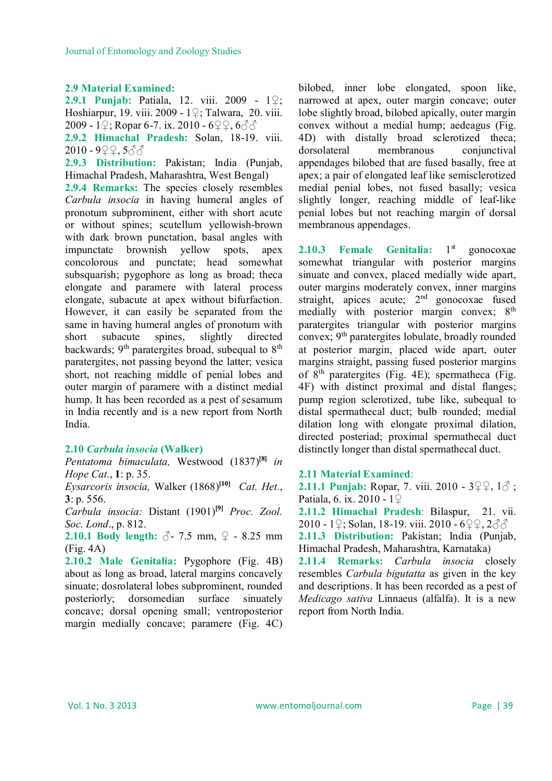#### **2.9 Material Examined:**

**2.9.1 Punjab:** Patiala, 12. viii. 2009 - 1♀; Hoshiarpur, 19. viii. 2009 - 1♀; Talwara, 20. viii. 2009 - 1♀; Ropar 6-7. ix. 2010 - 6♀♀, 6♂♂ **2.9.2 Himachal Pradesh:** Solan, 18-19. viii. 2010 - 9♀♀, 5♂♂

**2.9.3 Distribution:** Pakistan; India (Punjab, Himachal Pradesh, Maharashtra, West Bengal)

**2.9.4 Remarks:** The species closely resembles *Carbula insocia* in having humeral angles of pronotum subprominent, either with short acute or without spines; scutellum yellowish-brown with dark brown punctation, basal angles with impunctate brownish yellow spots, apex concolorous and punctate; head somewhat subsquarish; pygophore as long as broad; theca elongate and paramere with lateral process elongate, subacute at apex without bifurfaction. However, it can easily be separated from the same in having humeral angles of pronotum with short subacute spines, slightly directed backwards;  $9<sup>th</sup>$  paratergites broad, subequal to  $8<sup>th</sup>$ paratergites, not passing beyond the latter; vesica short, not reaching middle of penial lobes and outer margin of paramere with a distinct medial hump. It has been recorded as a pest of sesamum in India recently and is a new report from North India.

#### **2.10** *Carbula insocia* **(Walker)**

*Pentatoma bimaculata,* Westwood (1837)**[8]** *in Hope Cat.*, **1**: p. 35.

*Eysarcoris insocia,* Walker (1868)**[10]** *Cat. Het.*, **3**: p. 556.

*Carbula insocia:* Distant (1901)**[9]** *Proc. Zool. Soc. Lond*., p. 812.

**2.10.1 Body length:** ♂- 7.5 mm, **♀** - 8.25 mm (Fig. 4A)

**2.10.2 Male Genitalia:** Pygophore (Fig. 4B) about as long as broad, lateral margins concavely sinuate; dosrolateral lobes subprominent, rounded posteriorly; dorsomedian surface sinuately concave; dorsal opening small; ventroposterior margin medially concave; paramere (Fig. 4C)

bilobed, inner lobe elongated, spoon like, narrowed at apex, outer margin concave; outer lobe slightly broad, bilobed apically, outer margin convex without a medial hump; aedeagus (Fig. 4D) with distally broad sclerotized theca; dorsolateral membranous conjunctival appendages bilobed that are fused basally, free at apex; a pair of elongated leaf like semisclerotized medial penial lobes, not fused basally; vesica slightly longer, reaching middle of leaf-like penial lobes but not reaching margin of dorsal membranous appendages.

**2.10.3 Female Genitalia:** 1 gonocoxae somewhat triangular with posterior margins sinuate and convex, placed medially wide apart, outer margins moderately convex, inner margins straight, apices acute; 2<sup>nd</sup> gonocoxae fused medially with posterior margin convex; 8<sup>th</sup> paratergites triangular with posterior margins convex; 9th paratergites lobulate, broadly rounded at posterior margin, placed wide apart, outer margins straight, passing fused posterior margins of  $8<sup>th</sup>$  paratergites (Fig. 4E); spermatheca (Fig. 4F) with distinct proximal and distal flanges; pump region sclerotized, tube like, subequal to distal spermathecal duct; bulb rounded; medial dilation long with elongate proximal dilation, directed posteriad; proximal spermathecal duct distinctly longer than distal spermathecal duct.

#### **2.11 Material Examined**:

**2.11.1 Punjab:** Ropar, 7. viii. 2010 - 3♀♀, 1♂ ; Patiala, 6. ix. 2010 - 1♀

**2.11.2 Himachal Pradesh**: Bilaspur, 21. vii. 2010 - 1♀; Solan, 18-19. viii. 2010 - 6♀♀, 2♂♂

**2.11.3 Distribution:** Pakistan; India (Punjab, Himachal Pradesh, Maharashtra, Karnataka)

**2.11.4 Remarks:** *Carbula insocia* closely resembles *Carbula bigutatta* as given in the key and descriptions. It has been recorded as a pest of *Medicago sativa* Linnaeus (alfalfa). It is a new report from North India.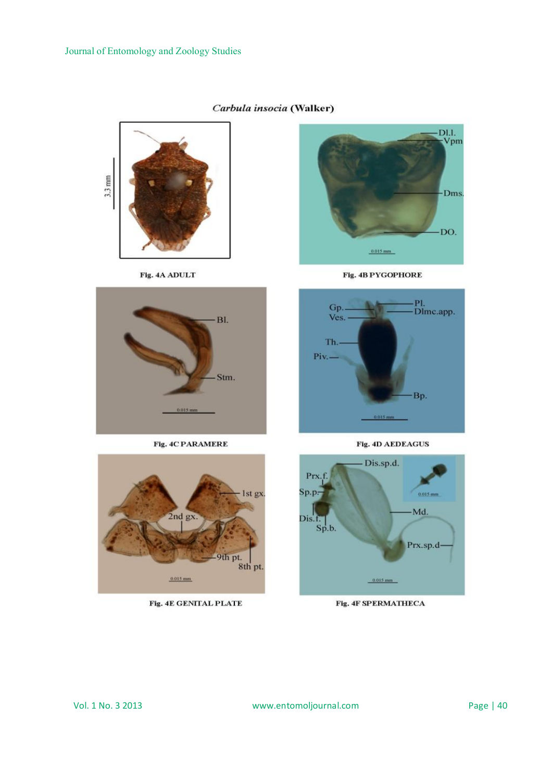

Fig. 4A ADULT



Fig. 4C PARAMERE



Fig. 4E GENITAL PLATE



Fig. 4B PYGOPHORE



Fig. 4D AEDEAGUS



Fig. 4F SPERMATHECA

Carbula insocia (Walker)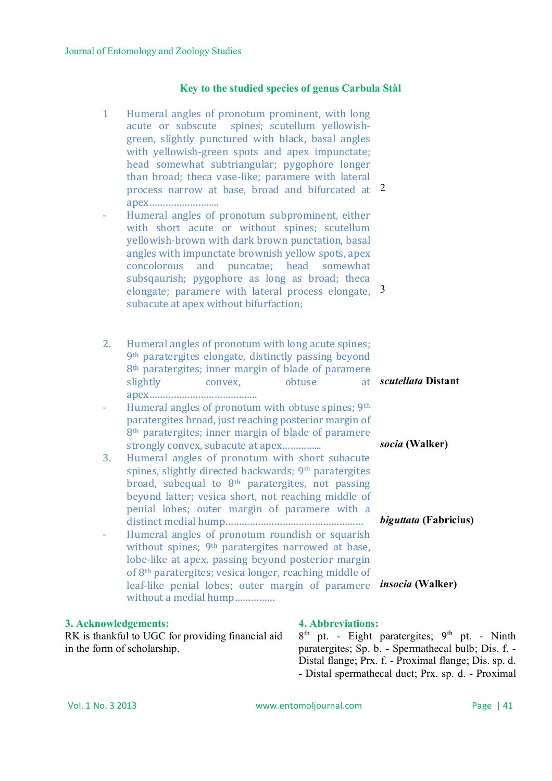### **Key to the studied species of genus Carbula Stål**

| $\mathbf{1}$ | Humeral angles of pronotum prominent, with long<br>spines; scutellum yellowish-<br>acute or subscute<br>green, slightly punctured with black, basal angles<br>with yellowish-green spots and apex impunctate;<br>head somewhat subtriangular; pygophore longer<br>than broad; theca vase-like; paramere with lateral<br>process narrow at base, broad and bifurcated at 2<br>Humeral angles of pronotum subprominent, either<br>with short acute or without spines; scutellum<br>yellowish-brown with dark brown punctation, basal<br>angles with impunctate brownish yellow spots, apex<br>concolorous and puncatae; head somewhat<br>subsqaurish; pygophore as long as broad; theca<br>elongate; paramere with lateral process elongate,<br>subacute at apex without bifurfaction; | 3                            |
|--------------|--------------------------------------------------------------------------------------------------------------------------------------------------------------------------------------------------------------------------------------------------------------------------------------------------------------------------------------------------------------------------------------------------------------------------------------------------------------------------------------------------------------------------------------------------------------------------------------------------------------------------------------------------------------------------------------------------------------------------------------------------------------------------------------|------------------------------|
| 2.           | Humeral angles of pronotum with long acute spines;<br>9 <sup>th</sup> paratergites elongate, distinctly passing beyond<br>8 <sup>th</sup> paratergites; inner margin of blade of paramere<br>obtuse<br>slightly<br>at<br>convex,                                                                                                                                                                                                                                                                                                                                                                                                                                                                                                                                                     | scutellata Distant           |
| 3.           | Humeral angles of pronotum with obtuse spines; 9th<br>paratergites broad, just reaching posterior margin of<br>8 <sup>th</sup> paratergites; inner margin of blade of paramere<br>strongly convex, subacute at apex<br>Humeral angles of pronotum with short subacute<br>spines, slightly directed backwards; 9 <sup>th</sup> paratergites<br>broad, subequal to 8 <sup>th</sup> paratergites, not passing<br>beyond latter; vesica short, not reaching middle of                                                                                                                                                                                                                                                                                                                    | socia (Walker)               |
|              | penial lobes; outer margin of paramere with a<br>Humeral angles of pronotum roundish or squarish<br>without spines; 9 <sup>th</sup> paratergites narrowed at base,                                                                                                                                                                                                                                                                                                                                                                                                                                                                                                                                                                                                                   | <i>biguttata</i> (Fabricius) |
|              | lobe-like at apex, passing beyond posterior margin<br>of 8 <sup>th</sup> paratergites; vesica longer, reaching middle of<br>leaf-like penial lobes; outer margin of paramere<br>without a medial hump                                                                                                                                                                                                                                                                                                                                                                                                                                                                                                                                                                                | <i>insocia</i> (Walker)      |

#### **3. Acknowledgements:**

RK is thankful to UGC for providing financial aid in the form of scholarship.

### **4. Abbreviations:**

 $8<sup>th</sup>$  pt. - Eight paratergites;  $9<sup>th</sup>$  pt. - Ninth paratergites; Sp. b. - Spermathecal bulb; Dis. f. - Distal flange; Prx. f. - Proximal flange; Dis. sp. d. - Distal spermathecal duct; Prx. sp. d. - Proximal